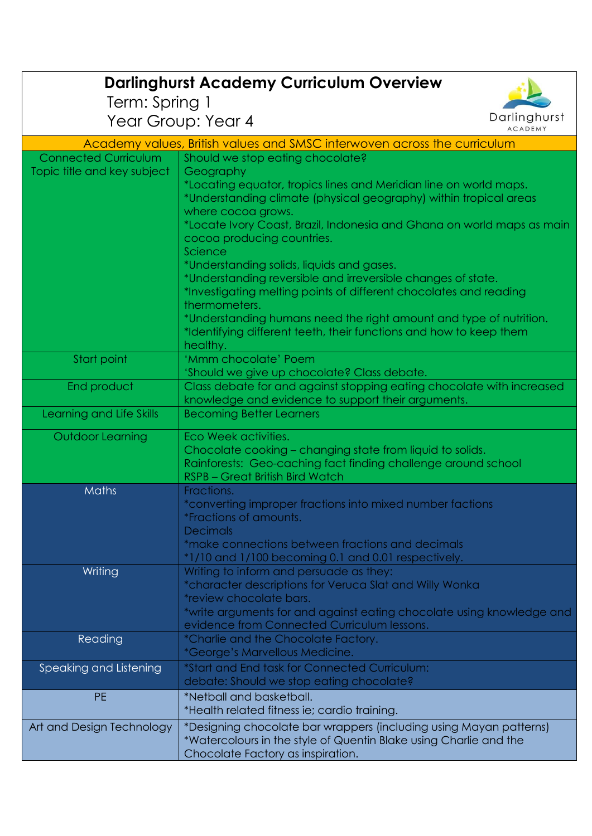| <b>Darlinghurst Academy Curriculum Overview</b>                          |                                                                                                                             |  |
|--------------------------------------------------------------------------|-----------------------------------------------------------------------------------------------------------------------------|--|
| Term: Spring 1                                                           |                                                                                                                             |  |
|                                                                          | Darlinghurst<br>Year Group: Year 4<br><b>ACADEMY</b>                                                                        |  |
| Academy values, British values and SMSC interwoven across the curriculum |                                                                                                                             |  |
| <b>Connected Curriculum</b>                                              | Should we stop eating chocolate?                                                                                            |  |
| Topic title and key subject                                              | Geography                                                                                                                   |  |
|                                                                          | *Locating equator, tropics lines and Meridian line on world maps.                                                           |  |
|                                                                          | *Understanding climate (physical geography) within tropical areas                                                           |  |
|                                                                          | where cocoa grows.<br>*Locate Ivory Coast, Brazil, Indonesia and Ghana on world maps as main                                |  |
|                                                                          | cocoa producing countries.                                                                                                  |  |
|                                                                          | Science                                                                                                                     |  |
|                                                                          | *Understanding solids, liquids and gases.                                                                                   |  |
|                                                                          | *Understanding reversible and irreversible changes of state.                                                                |  |
|                                                                          | *Investigating melting points of different chocolates and reading<br>thermometers.                                          |  |
|                                                                          | *Understanding humans need the right amount and type of nutrition.                                                          |  |
|                                                                          | *Identifying different teeth, their functions and how to keep them                                                          |  |
|                                                                          | healthy.                                                                                                                    |  |
| Start point                                                              | 'Mmm chocolate' Poem                                                                                                        |  |
|                                                                          | 'Should we give up chocolate? Class debate.                                                                                 |  |
| End product                                                              | Class debate for and against stopping eating chocolate with increased<br>knowledge and evidence to support their arguments. |  |
| Learning and Life Skills                                                 | <b>Becoming Better Learners</b>                                                                                             |  |
|                                                                          |                                                                                                                             |  |
| Outdoor Learning                                                         | Eco Week activities.<br>Chocolate cooking - changing state from liquid to solids.                                           |  |
|                                                                          | Rainforests: Geo-caching fact finding challenge around school                                                               |  |
|                                                                          | <b>RSPB - Great British Bird Watch</b>                                                                                      |  |
| <b>Maths</b>                                                             | Fractions.                                                                                                                  |  |
|                                                                          | *converting improper fractions into mixed number factions                                                                   |  |
|                                                                          | <i>*Fractions of amounts.</i>                                                                                               |  |
|                                                                          | <b>Decimals</b><br>*make connections between fractions and decimals                                                         |  |
|                                                                          | *1/10 and 1/100 becoming 0.1 and 0.01 respectively.                                                                         |  |
| Writing                                                                  | Writing to inform and persuade as they:                                                                                     |  |
|                                                                          | *character descriptions for Veruca Slat and Willy Wonka                                                                     |  |
|                                                                          | *review chocolate bars.                                                                                                     |  |
|                                                                          | *write arguments for and against eating chocolate using knowledge and<br>evidence from Connected Curriculum lessons.        |  |
| Reading                                                                  | *Charlie and the Chocolate Factory.                                                                                         |  |
|                                                                          | *George's Marvellous Medicine.                                                                                              |  |
| Speaking and Listening                                                   | *Start and End task for Connected Curriculum:                                                                               |  |
|                                                                          | debate: Should we stop eating chocolate?                                                                                    |  |
| <b>PE</b>                                                                | *Netball and basketball.                                                                                                    |  |
|                                                                          | *Health related fitness ie; cardio training.                                                                                |  |
| Art and Design Technology                                                | *Designing chocolate bar wrappers (including using Mayan patterns)                                                          |  |
|                                                                          | *Watercolours in the style of Quentin Blake using Charlie and the                                                           |  |
|                                                                          | Chocolate Factory as inspiration.                                                                                           |  |